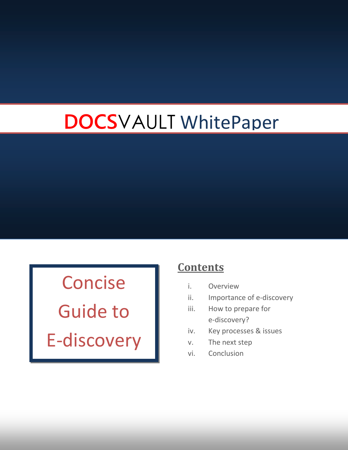# **DOCS**VAULT WhitePaper

Concise

Guide to E-discovery

# **Contents**

- i. Overview
- ii. Importance of e-discovery
- iii. How to prepare for e-discovery?
- iv. Key processes & issues
- v. The next step
- vi. Conclusion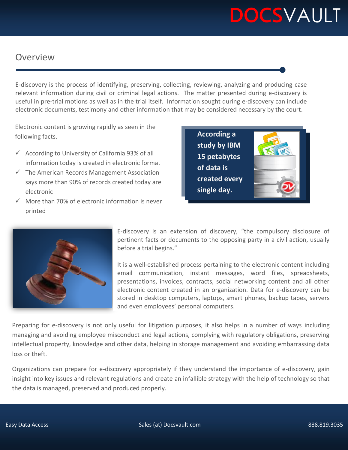# **DOCS**VAULT

# Overview

E-discovery is the process of identifying, preserving, collecting, reviewing, analyzing and producing case relevant information during civil or criminal legal actions. The matter presented during e-discovery is useful in pre-trial motions as well as in the trial itself. Information sought during e-discovery can include electronic documents, testimony and other information that may be considered necessary by the court.

Electronic content is growing rapidly as seen in the following facts.

- $\checkmark$  According to University of California 93% of all information today is created in electronic format
- $\checkmark$  The American Records Management Association says more than 90% of records created today are electronic
- $\checkmark$  More than 70% of electronic information is never printed





E-discovery is an extension of discovery, "the compulsory disclosure of pertinent facts or documents to the opposing party in a civil action, usually before a trial begins."

It is a well-established process pertaining to the electronic content including email communication, instant messages, word files, spreadsheets, presentations, invoices, contracts, social networking content and all other electronic content created in an organization. Data for e-discovery can be stored in desktop computers, laptops, smart phones, backup tapes, servers and even employees' personal computers.

Preparing for e-discovery is not only useful for litigation purposes, it also helps in a number of ways including managing and avoiding employee misconduct and legal actions, complying with regulatory obligations, preserving intellectual property, knowledge and other data, helping in storage management and avoiding embarrassing data loss or theft.

Organizations can prepare for e-discovery appropriately if they understand the importance of e-discovery, gain insight into key issues and relevant regulations and create an infallible strategy with the help of technology so that the data is managed, preserved and produced properly.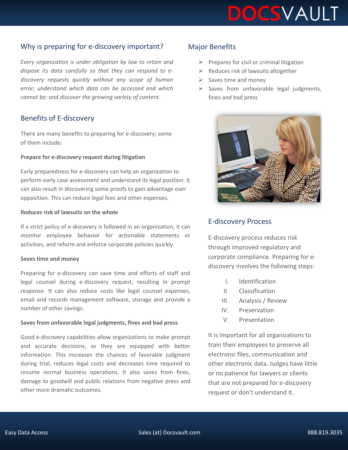

# Why is preparing for e-discovery important?

*Every organization is under obligation by law to retain and dispose its data carefully so that they can respond to ediscovery requests quickly without any scope of human error; understand which data can be accessed and which cannot be; and discover the growing variety of content.*

### Benefits of E-discovery

There are many benefits to preparing for e-discovery; some of them include:

#### **Prepare for e-discovery request during litigation**

Early preparedness for e-discovery can help an organization to perform early case assessment and understand its legal position. It can also result in discovering some proofs to gain advantage over opposition. This can reduce legal fees and other expenses.

#### **Reduces risk of lawsuits on the whole**

If a strict policy of e-discovery is followed in an organization, it can monitor employee behavior for actionable statements or activities, and reform and enforce corporate policies quickly.

#### **Saves time and money**

Preparing for e-discovery can save time and efforts of staff and legal counsel during e-discovery request, resulting in prompt response. It can also reduce costs like legal counsel expenses, email and records management software, storage and provide a number of other savings.

#### **Saves from unfavorable legal judgments, fines and bad press**

Good e-discovery capabilities allow organizations to make prompt and accurate decisions, as they are equipped with better information. This increases the chances of favorable judgment during trial, reduces legal costs and decreases time required to resume normal business operations. It also saves from fines, damage to goodwill and public relations from negative press and other more dramatic outcomes.

### Major Benefits

- $\triangleright$  Prepares for civil or criminal litigation
- $\triangleright$  Reduces risk of lawsuits altogether
- $\triangleright$  Saves time and money
- $\triangleright$  Saves from unfavorable legal judgments, fines and bad press



# E-discovery Process

E-discovery process reduces risk through improved regulatory and corporate compliance. Preparing for ediscovery involves the following steps:

- I. Identification
- II. Classification
- III. Analysis / Review
- IV. Preservation
- V. Presentation

It is important for all organizations to train their employees to preserve all electronic files, communication and other electronic data. Judges have little or no patience for lawyers or clients that are not prepared for e-discovery request or don't understand it.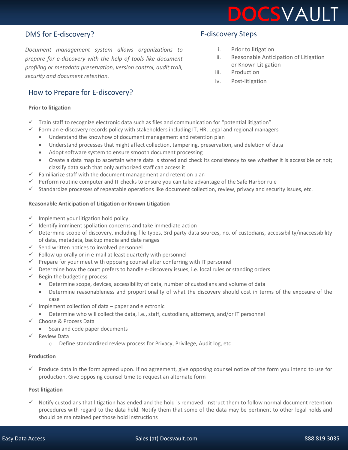

# DMS for E-discovery?

*Document management system allows organizations to prepare for e-discovery with the help of tools like document profiling or metadata preservation, version control, audit trail, security and document retention.* 

## How to Prepare for E-discovery?

#### **Prior to litigation**

- $\checkmark$  Train staff to recognize electronic data such as files and communication for "potential litigation"
- $\checkmark$  Form an e-discovery records policy with stakeholders including IT, HR, Legal and regional managers
	- Understand the knowhow of document management and retention plan
	- Understand processes that might affect collection, tampering, preservation, and deletion of data
	- Adopt software system to ensure smooth document processing
	- Create a data map to ascertain where data is stored and check its consistency to see whether it is accessible or not; classify data such that only authorized staff can access it
- $\checkmark$  Familiarize staff with the document management and retention plan
- $\checkmark$  Perform routine computer and IT checks to ensure you can take advantage of the Safe Harbor rule
- $\checkmark$  Standardize processes of repeatable operations like document collection, review, privacy and security issues, etc.

#### **Reasonable Anticipation of Litigation or Known Litigation**

- $\checkmark$  Implement your litigation hold policy
- $\checkmark$  Identify imminent spoliation concerns and take immediate action
- $\checkmark$  Determine scope of discovery, including file types, 3rd party data sources, no. of custodians, accessibility/inaccessibility of data, metadata, backup media and date ranges
- $\checkmark$  Send written notices to involved personnel
- $\checkmark$  Follow up orally or in e-mail at least quarterly with personnel
- $\checkmark$  Prepare for your meet with opposing counsel after conferring with IT personnel
- $\checkmark$  Determine how the court prefers to handle e-discovery issues, i.e. local rules or standing orders
- $\checkmark$  Begin the budgeting process
	- Determine scope, devices, accessibility of data, number of custodians and volume of data
	- Determine reasonableness and proportionality of what the discovery should cost in terms of the exposure of the case
- $\checkmark$  Implement collection of data paper and electronic
	- Determine who will collect the data, i.e., staff, custodians, attorneys, and/or IT personnel
- Choose & Process Data
	- Scan and code paper documents
- Review Data
	- Can law firms do without document management system? o Define standardized review process for Privacy, Privilege, Audit log, etc

#### **Production**

 $\checkmark$  Produce data in the form agreed upon. If no agreement, give opposing counsel notice of the form you intend to use for production. Give opposing counsel time to request an alternate form

#### **Post litigation**

 $\checkmark$  Notify custodians that litigation has ended and the hold is removed. Instruct them to follow normal document retention procedures with regard to the data held. Notify them that some of the data may be pertinent to other legal holds and should be maintained per those hold instructions

# E-discovery Steps

- i. Prior to litigation
- ii. Reasonable Anticipation of Litigation or Known Litigation
- iii. Production
- iv. Post-litigation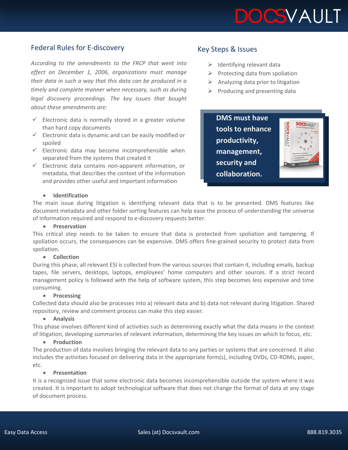

# Federal Rules for E-discovery

*According to the amendments to the FRCP that went into effect on December 1, 2006, organizations must manage their data in such a way that this data can be produced in a timely and complete manner when necessary, such as during legal discovery proceedings. The key issues that bought about these amendments are:*

- $\checkmark$  Electronic data is normally stored in a greater volume than hard copy documents
- $\checkmark$  Electronic data is dynamic and can be easily modified or spoiled
- $\checkmark$  Electronic data may become incomprehensible when separated from the systems that created it
- $\checkmark$  Electronic data contains non-apparent information, or metadata, that describes the context of the information and provides other useful and important information

### Key Steps & Issues

- $\triangleright$  Identifying relevant data
- $\triangleright$  Protecting data from spoliation
- $\triangleright$  Analyzing data prior to litigation
- $\triangleright$  Producing and presenting data

**DMS must have tools to enhance productivity, management, security and collaboration.**



#### **Identification**

The main issue during litigation is identifying relevant data that is to be presented. DMS features like document metadata and other folder sorting features can help ease the process of understanding the universe of information required and respond to e-discovery requests better.

#### **•** Preservation

This critical step needs to be taken to ensure that data is protected from spoliation and tampering. If spoliation occurs, the consequences can be expensive. DMS offers fine-grained security to protect data from spoliation.

#### **•** Collection

During this phase, all relevant ESI is collected from the various sources that contain it, including emails, backup tapes, file servers, desktops, laptops, employees' home computers and other sources. If a strict record management policy is followed with the help of software system, this step becomes less expensive and time consuming.

#### **•** Processing

Collected data should also be processes into a) relevant data and b) data not relevant during litigation. Shared repository, review and comment process can make this step easier.

#### **Analysis**

This phase involves different kind of activities such as determining exactly what the data means in the context of litigation, developing summaries of relevant information, determining the key issues on which to focus, etc.

#### **•** Production

The production of data involves bringing the relevant data to any parties or systems that are concerned. It also includes the activities focused on delivering data in the appropriate form(s), including DVDs, CD-ROMs, paper, etc.

#### **•** Presentation

It is a recognized issue that some electronic data becomes incomprehensible outside the system where it was created. It is important to adopt technological software that does not change the format of data at any stage of document process.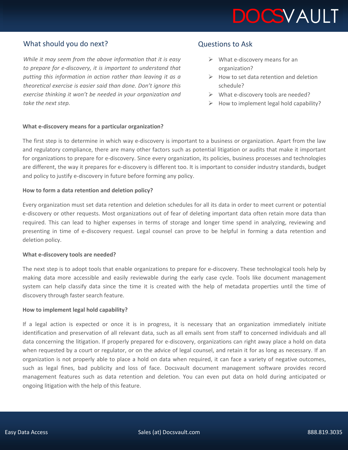

# What should you do next?

*While it may seem from the above information that it is easy to prepare for e-discovery, it is important to understand that putting this information in action rather than leaving it as a theoretical exercise is easier said than done. Don't ignore this exercise thinking it won't be needed in your organization and take the next step.*

#### **What e-discovery means for a particular organization?**

### Questions to Ask

- $\triangleright$  What e-discovery means for an organization?
- $\triangleright$  How to set data retention and deletion schedule?
- $\triangleright$  What e-discovery tools are needed?
- $\triangleright$  How to implement legal hold capability?

The first step is to determine in which way e-discovery is important to a business or organization. Apart from the law and regulatory compliance, there are many other factors such as potential litigation or audits that make it important for organizations to prepare for e-discovery. Since every organization, its policies, business processes and technologies are different, the way it prepares for e-discovery is different too. It is important to consider industry standards, budget and policy to justify e-discovery in future before forming any policy.

#### **How to form a data retention and deletion policy?**

Every organization must set data retention and deletion schedules for all its data in order to meet current or potential e-discovery or other requests. Most organizations out of fear of deleting important data often retain more data than required. This can lead to higher expenses in terms of storage and longer time spend in analyzing, reviewing and presenting in time of e-discovery request. Legal counsel can prove to be helpful in forming a data retention and deletion policy.

#### **What e-discovery tools are needed?**

The next step is to adopt tools that enable organizations to prepare for e-discovery. These technological tools help by making data more accessible and easily reviewable during the early case cycle. Tools like document management system can help classify data since the time it is created with the help of metadata properties until the time of discovery through faster search feature.

#### **How to implement legal hold capability?**

If a legal action is expected or once it is in progress, it is necessary that an organization immediately initiate identification and preservation of all relevant data, such as all emails sent from staff to concerned individuals and all data concerning the litigation. If properly prepared for e-discovery, organizations can right away place a hold on data when requested by a court or regulator, or on the advice of legal counsel, and retain it for as long as necessary. If an organization is not properly able to place a hold on data when required, it can face a variety of negative outcomes, such as legal fines, bad publicity and loss of face. Docsvault document management software provides record management features such as data retention and deletion. You can even put data on hold during anticipated or ongoing litigation with the help of this feature.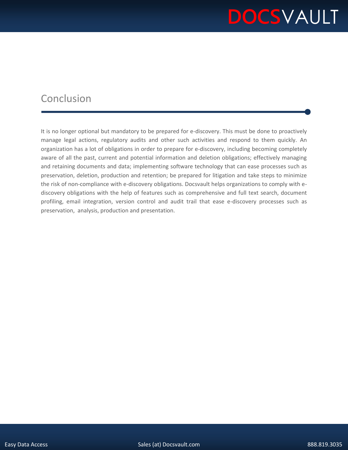# **DOCS**VAULT

# Conclusion

It is no longer optional but mandatory to be prepared for e-discovery. This must be done to proactively manage legal actions, regulatory audits and other such activities and respond to them quickly. An organization has a lot of obligations in order to prepare for e-discovery, including becoming completely aware of all the past, current and potential information and deletion obligations; effectively managing and retaining documents and data; implementing software technology that can ease processes such as preservation, deletion, production and retention; be prepared for litigation and take steps to minimize the risk of non-compliance with e-discovery obligations. Docsvault helps organizations to comply with ediscovery obligations with the help of features such as comprehensive and full text search, document profiling, email integration, version control and audit trail that ease e-discovery processes such as preservation, analysis, production and presentation.